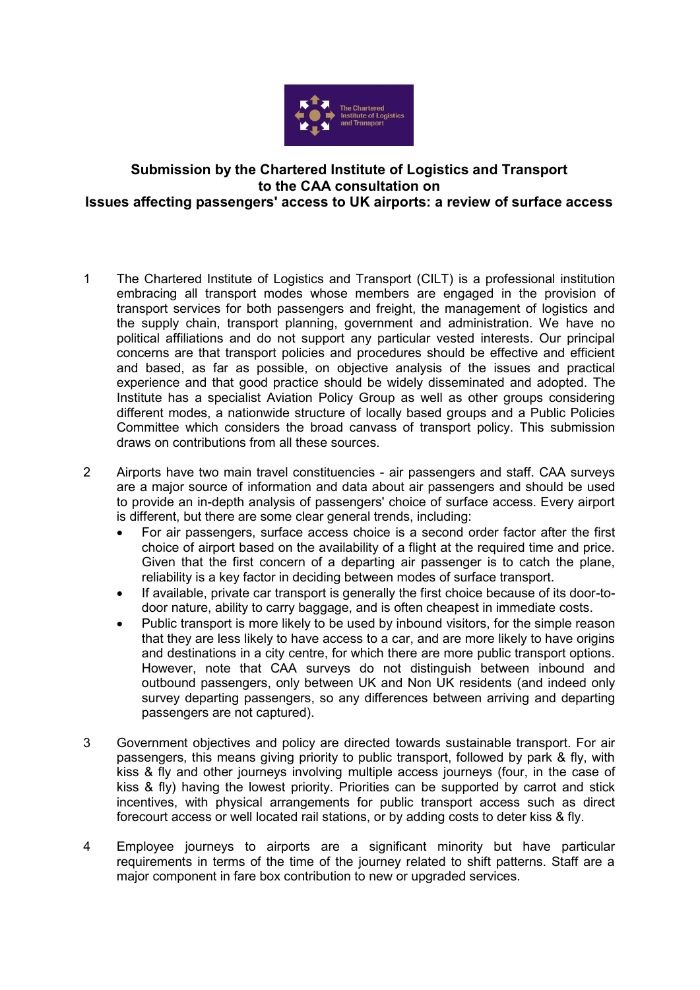

## **Submission by the Chartered Institute of Logistics and Transport to the CAA consultation on Issues affecting passengers' access to UK airports: a review of surface access**

- 1 The Chartered Institute of Logistics and Transport (CILT) is a professional institution embracing all transport modes whose members are engaged in the provision of transport services for both passengers and freight, the management of logistics and the supply chain, transport planning, government and administration. We have no political affiliations and do not support any particular vested interests. Our principal concerns are that transport policies and procedures should be effective and efficient and based, as far as possible, on objective analysis of the issues and practical experience and that good practice should be widely disseminated and adopted. The Institute has a specialist Aviation Policy Group as well as other groups considering different modes, a nationwide structure of locally based groups and a Public Policies Committee which considers the broad canvass of transport policy. This submission draws on contributions from all these sources.
- 2 Airports have two main travel constituencies air passengers and staff. CAA surveys are a major source of information and data about air passengers and should be used to provide an in-depth analysis of passengers' choice of surface access. Every airport is different, but there are some clear general trends, including:
	- For air passengers, surface access choice is a second order factor after the first choice of airport based on the availability of a flight at the required time and price. Given that the first concern of a departing air passenger is to catch the plane, reliability is a key factor in deciding between modes of surface transport.
	- If available, private car transport is generally the first choice because of its door-todoor nature, ability to carry baggage, and is often cheapest in immediate costs.
	- Public transport is more likely to be used by inbound visitors, for the simple reason that they are less likely to have access to a car, and are more likely to have origins and destinations in a city centre, for which there are more public transport options. However, note that CAA surveys do not distinguish between inbound and outbound passengers, only between UK and Non UK residents (and indeed only survey departing passengers, so any differences between arriving and departing passengers are not captured).
- 3 Government objectives and policy are directed towards sustainable transport. For air passengers, this means giving priority to public transport, followed by park & fly, with kiss & fly and other journeys involving multiple access journeys (four, in the case of kiss & fly) having the lowest priority. Priorities can be supported by carrot and stick incentives, with physical arrangements for public transport access such as direct forecourt access or well located rail stations, or by adding costs to deter kiss & fly.
- 4 Employee journeys to airports are a significant minority but have particular requirements in terms of the time of the journey related to shift patterns. Staff are a major component in fare box contribution to new or upgraded services.